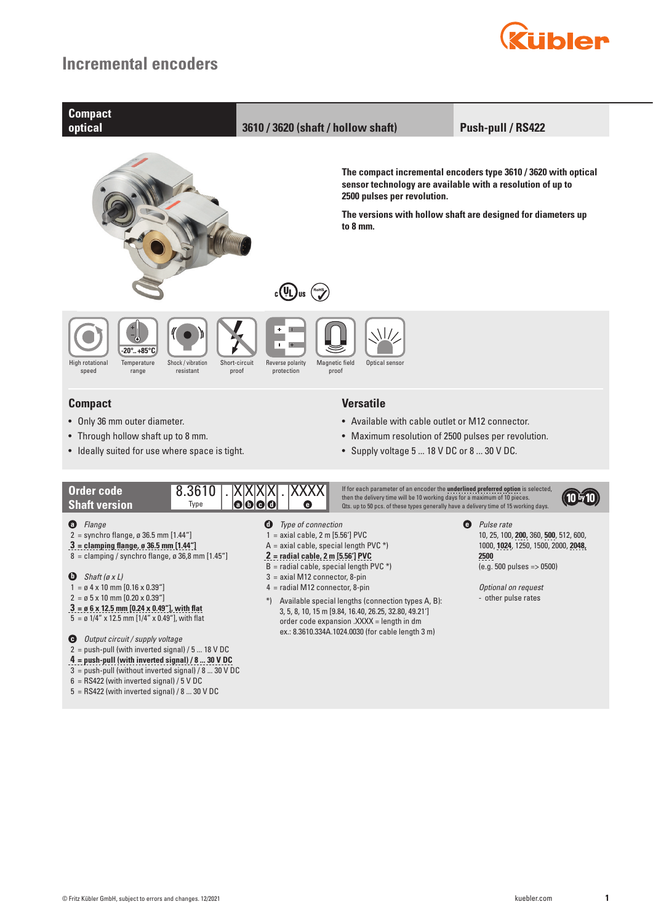

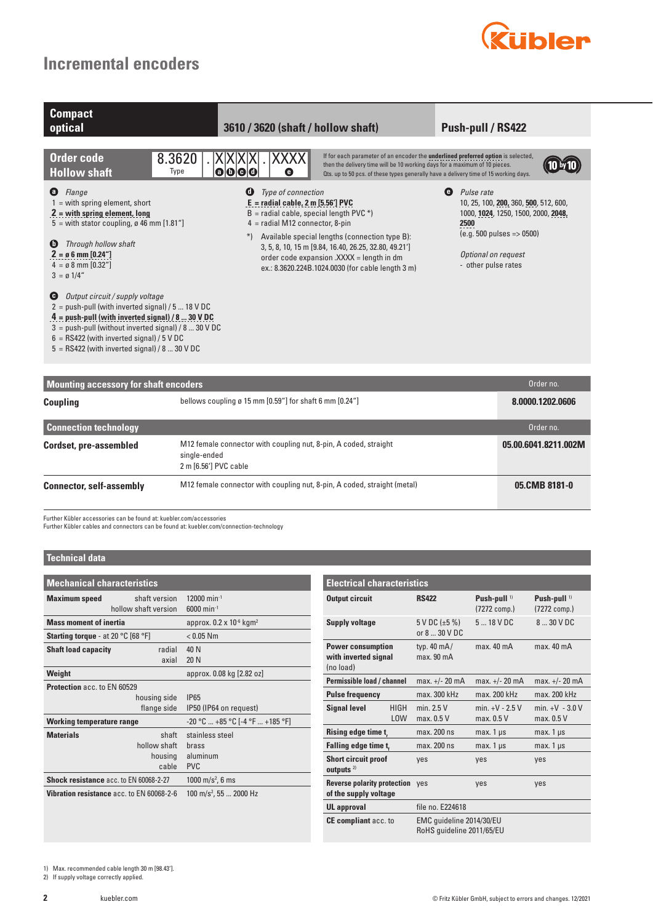

| <b>Compact</b><br>optical                                                                                                                                                                                                                                                                                                                             | 3610 / 3620 (shaft / hollow shaft)                                                                                                                                                                                                                                                                                                                                                              | Push-pull / RS422                                                                                                                                                                                                                                                                                                                                                                                                                                      |
|-------------------------------------------------------------------------------------------------------------------------------------------------------------------------------------------------------------------------------------------------------------------------------------------------------------------------------------------------------|-------------------------------------------------------------------------------------------------------------------------------------------------------------------------------------------------------------------------------------------------------------------------------------------------------------------------------------------------------------------------------------------------|--------------------------------------------------------------------------------------------------------------------------------------------------------------------------------------------------------------------------------------------------------------------------------------------------------------------------------------------------------------------------------------------------------------------------------------------------------|
| <b>Order code</b><br>8.3620<br><b>Hollow shaft</b><br>Type<br>Flange<br>O<br>$=$ with spring element, short<br>$2$ = with spring element, long<br>$5$ = with stator coupling, ø 46 mm [1.81"]<br>Through hollow shaft<br>$2 = \emptyset 6$ mm [0.24"]<br>$4 = \emptyset 8$ mm [0.32"]<br>$3 = \emptyset$ 1/4"<br>Output circuit / supply voltage<br>Θ | XXXXI<br> 0 0 0 <br>Θ<br>0<br><b>Type of connection</b><br>$E =$ radial cable, 2 m $[5.56']$ PVC<br>$B =$ radial cable, special length PVC *)<br>$4 =$ radial M12 connector, 8-pin<br>Available special lengths (connection type B):<br>3, 5, 8, 10, 15 m [9.84, 16.40, 26.25, 32.80, 49.21']<br>order code expansion .XXXX = length in dm<br>ex.: 8.3620.224B.1024.0030 (for cable length 3 m) | If for each parameter of an encoder the underlined preferred option is selected,<br>then the delivery time will be 10 working days for a maximum of 10 pieces.<br>Ots. up to 50 pcs. of these types generally have a delivery time of 15 working days.<br>Pulse rate<br>$\bullet$<br>10, 25, 100, 200, 360, 500, 512, 600,<br>1000, 1024, 1250, 1500, 2000, 2048,<br>2500<br>$(e.q. 500 pulses => 0500)$<br>Optional on request<br>- other pulse rates |
| $2 = push-pull$ (with inverted signal) / 5  18 V DC<br>$4 = push-pull$ (with inverted signal) / 8  30 V DC<br>$3 = \text{push-pull}$ (without inverted signal) / 8  30 V DC<br>$6 = RS422$ (with inverted signal) / $5 VDC$<br>$5 = RS422$ (with inverted signal) / 8  30 V DC                                                                        |                                                                                                                                                                                                                                                                                                                                                                                                 |                                                                                                                                                                                                                                                                                                                                                                                                                                                        |
| <b>Mounting accessory for shaft encoders</b>                                                                                                                                                                                                                                                                                                          |                                                                                                                                                                                                                                                                                                                                                                                                 | Order no.                                                                                                                                                                                                                                                                                                                                                                                                                                              |
|                                                                                                                                                                                                                                                                                                                                                       |                                                                                                                                                                                                                                                                                                                                                                                                 |                                                                                                                                                                                                                                                                                                                                                                                                                                                        |

| <b>Coupling</b>                 | bellows coupling $\varnothing$ 15 mm [0.59"] for shaft 6 mm [0.24"]                                       | 8.0000.1202.0606     |
|---------------------------------|-----------------------------------------------------------------------------------------------------------|----------------------|
| <b>Connection technology</b>    |                                                                                                           | Order no.            |
| Cordset, pre-assembled          | M12 female connector with coupling nut, 8-pin, A coded, straight<br>single-ended<br>2 m [6.56'] PVC cable | 05.00.6041.8211.002M |
| <b>Connector, self-assembly</b> | M12 female connector with coupling nut, 8-pin, A coded, straight (metal)                                  | 05.CMB 8181-0        |

Further Kübler accessories can be found at: kuebler.com/accessories Further Kübler cables and connectors can be found at: kuebler.com/connection-technology

### **Technical data**

| <b>Mechanical characteristics</b>                             |                                                  |                                               |
|---------------------------------------------------------------|--------------------------------------------------|-----------------------------------------------|
| <b>Maximum speed</b>                                          | shaft version                                    | $12000$ min <sup>-1</sup>                     |
|                                                               | hollow shaft version                             | $6000$ min <sup>-1</sup>                      |
| <b>Mass moment of inertia</b>                                 |                                                  | approx. $0.2 \times 10^{-6}$ kgm <sup>2</sup> |
| <b>Starting torque</b> - at 20 $^{\circ}$ C [68 $^{\circ}$ F] |                                                  | $< 0.05$ Nm                                   |
| <b>Shaft load capacity</b>                                    | radial                                           | 40 N                                          |
|                                                               | axial                                            | 20 N                                          |
| Weight                                                        |                                                  | approx. 0.08 kg [2.82 oz]                     |
| Protection acc. to EN 60529                                   |                                                  |                                               |
|                                                               | housing side IP65                                |                                               |
|                                                               | flange side                                      | IP50 (IP64 on request)                        |
| <b>Working temperature range</b>                              |                                                  | $-20$ °C $+85$ °C [-4 °F $+185$ °F]           |
| <b>Materials</b>                                              | shaft                                            | stainless steel                               |
|                                                               | hollow shaft                                     | hrass                                         |
|                                                               | housing                                          | aluminum                                      |
|                                                               | cable                                            | PVC                                           |
| <b>Shock resistance acc. to EN 60068-2-27</b>                 |                                                  | 1000 m/s <sup>2</sup> , 6 ms                  |
|                                                               | <b>Vibration resistance acc. to FN 60068-2-6</b> | $100 \text{ m/s}^2$ , 55  2000 Hz             |
|                                                               |                                                  |                                               |

| <b>Electrical characteristics</b>                               |                           |                                                       |                                                   |                                                   |
|-----------------------------------------------------------------|---------------------------|-------------------------------------------------------|---------------------------------------------------|---------------------------------------------------|
| <b>Output circuit</b>                                           |                           | <b>RS422</b>                                          | Push-pull <sup>1)</sup><br>$(7272 \text{ comp.})$ | Push-pull <sup>1)</sup><br>$(7272 \text{ comp.})$ |
| <b>Supply voltage</b>                                           |                           | 5 V DC $(\pm 5\%)$<br>or 8  30 V DC                   | $5-18$ V DC                                       | $8 - 30$ V DC                                     |
| <b>Power consumption</b><br>with inverted signal<br>(no load)   |                           | typ. $40 \text{ mA}$<br>max.90 mA                     | max. 40 mA                                        | $max$ 40 $mA$                                     |
| Permissible load / channel                                      |                           | $max. +/- 20 mA$                                      | $max. +/- 20 mA$                                  | $max. +/- 20 mA$                                  |
| <b>Pulse frequency</b>                                          |                           | $max.300$ kHz                                         | $max$ 200 kHz                                     | $max$ 200 kHz                                     |
| <b>Signal level</b>                                             | <b>HIGH</b><br><b>LOW</b> | min. 2.5 V<br>max. 0.5 V                              | $min. +V - 2.5 V$<br>max. 0.5 V                   | $min. +V - 3.0 V$<br>max. 0.5 V                   |
| Rising edge time t                                              |                           | max. 200 ns                                           | $max.1 \,\mu s$                                   | $max. 1 \mu s$                                    |
| Falling edge time t.                                            |                           | max. 200 ns                                           | $max. 1 \mu s$                                    | $max. 1 \mu s$                                    |
| <b>Short circuit proof</b><br>outputs $2)$                      |                           | yes                                                   | yes                                               | yes                                               |
| <b>Reverse polarity protection</b> yes<br>of the supply voltage |                           |                                                       | yes                                               | yes                                               |
| <b>UL</b> approval                                              |                           | file no. E224618                                      |                                                   |                                                   |
| <b>CE compliant</b> acc. to                                     |                           | EMC guideline 2014/30/EU<br>RoHS quideline 2011/65/EU |                                                   |                                                   |

1) Max. recommended cable length 30 m [98.43']. 2) If supply voltage correctly applied.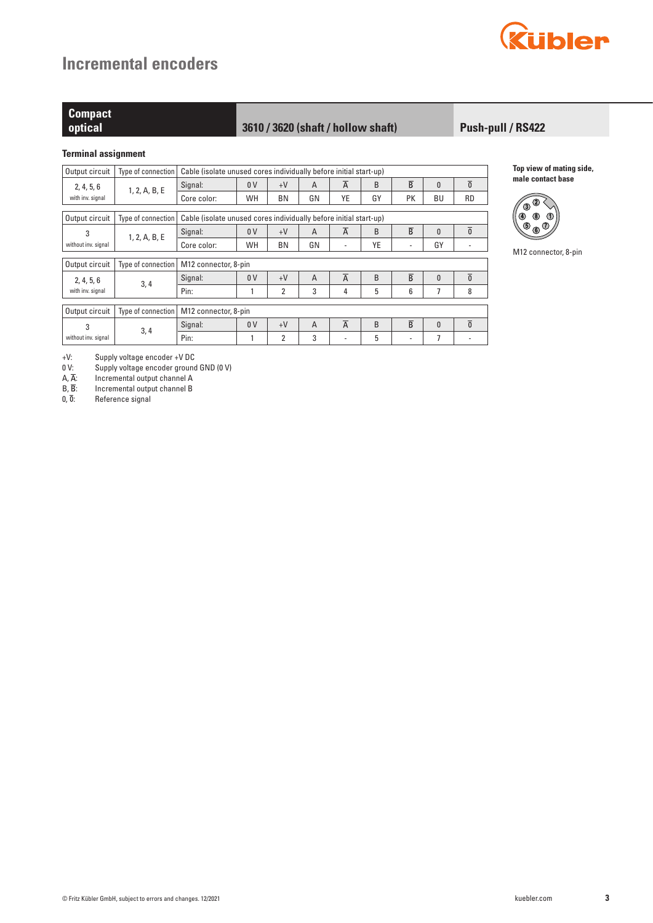**Compact**

### **optical 3610 / 3620 (shaft / hollow shaft)**

**Push-pull / RS422** 

**Terminal assignment** 

| Output circuit      | Type of connection | Cable (isolate unused cores individually before initial start-up) |                |           |                |                          |    |                          |              |                |
|---------------------|--------------------|-------------------------------------------------------------------|----------------|-----------|----------------|--------------------------|----|--------------------------|--------------|----------------|
| 2, 4, 5, 6          | 1, 2, A, B, E      | Signal:                                                           | 0 <sup>V</sup> | $+V$      | $\overline{A}$ | $\overline{\mathsf{A}}$  | B  | $\overline{\mathsf{B}}$  | $\mathbf{0}$ | $\overline{0}$ |
| with inv. signal    |                    | Core color:                                                       | WH             | BN        | GN             | YE                       | GY | PK                       | BU           | <b>RD</b>      |
|                     |                    |                                                                   |                |           |                |                          |    |                          |              |                |
| Output circuit      | Type of connection | Cable (isolate unused cores individually before initial start-up) |                |           |                |                          |    |                          |              |                |
| 3                   | 1, 2, A, B, E      | Signal:                                                           | 0 <sup>V</sup> | $+V$      | A              | $\overline{\mathsf{A}}$  | B  | $\overline{B}$           | $\mathbf{0}$ | $\overline{0}$ |
| without inv. signal |                    | Core color:                                                       | <b>WH</b>      | <b>BN</b> | GN             | -                        | YE | $\overline{\phantom{0}}$ | GY           |                |
|                     |                    |                                                                   |                |           |                |                          |    |                          |              |                |
| Output circuit      | Type of connection | M12 connector, 8-pin                                              |                |           |                |                          |    |                          |              |                |
| 2, 4, 5, 6          | 3, 4               | Signal:                                                           | 0 <sup>V</sup> | $+V$      | $\overline{A}$ | $\overline{A}$           | B  | $\overline{\mathsf{B}}$  | $\mathbf{0}$ | $\overline{0}$ |
| with inv. signal    |                    | Pin:                                                              |                | 2         | 3              | 4                        | 5  | 6                        | 7            | 8              |
|                     |                    |                                                                   |                |           |                |                          |    |                          |              |                |
| Output circuit      | Type of connection | M12 connector, 8-pin                                              |                |           |                |                          |    |                          |              |                |
| 3                   | 3, 4               | Signal:                                                           | 0 <sub>V</sub> | $+V$      | $\overline{A}$ | $\overline{A}$           | B  | $\overline{B}$           | $\Omega$     | $\overline{0}$ |
| without inv. signal |                    | Pin:                                                              |                | 2         | 3              | $\overline{\phantom{0}}$ | 5  | $\overline{\phantom{0}}$ | 7            |                |

+V: Supply voltage encoder +V DC<br>0 V: Supply voltage encoder ground<br>A, Ā: Incremental output channel A

Supply voltage encoder ground GND (0 V)

 $A, \overline{A}$ : Incremental output channel A<br>B,  $\overline{B}$ : Incremental output channel B

Incremental output channel B

 $0, \overline{0}$ : Reference signal



**Top view of mating side,** 



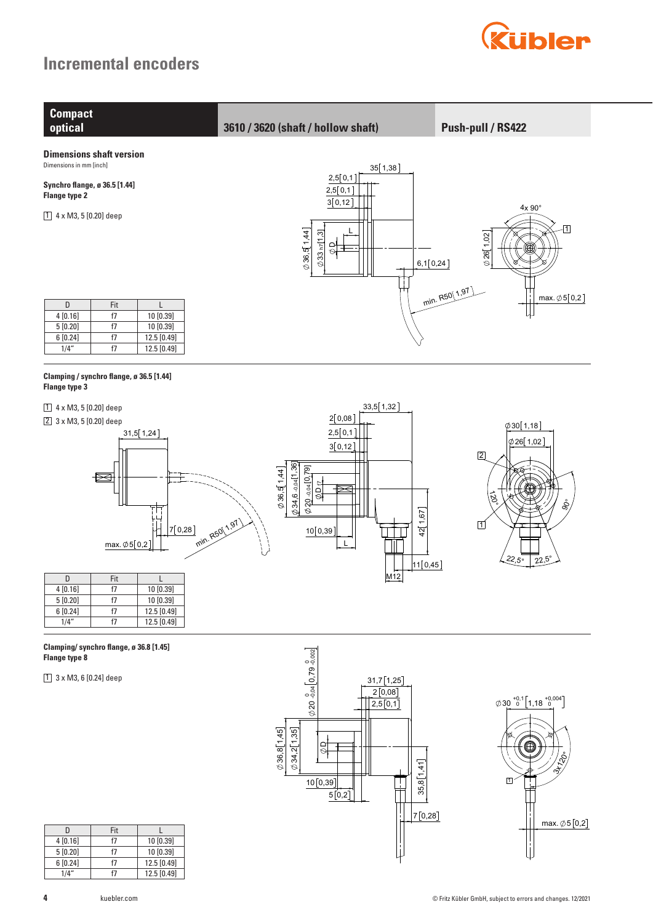



### D **Clamping / synchro flange, ø 36.5 [1.44] Flange type 3**



#### **Clamping/ synchro flange, ø 36.8 [1.45] Flange type 8**

6 [0.24] f7 12.5 [0.49]

 $12.5 [0.49]$ 

 $1$  3 x M3, 6 [0.24] deep

E

| $\frac{2}{\frac{1}{2}}$ |
|-------------------------|
|-------------------------|

1

 $4\times 10^{10}$  M3,  $5\times 10^{10}$ 

| n        | Fit |             |
|----------|-----|-------------|
| 4 [0.16] | f7  | 10 [0.39]   |
| 5[0.20]  | f7  | 10[0.39]    |
| 6[0.24]  | f7  | 12.5 [0.49] |
| 1/4"     | f7  | 12.5 [0.49] |